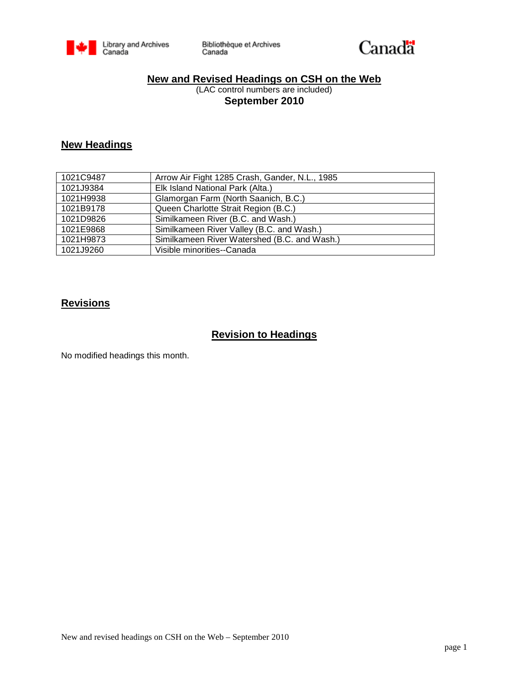



#### **New and Revised Headings on CSH on the Web**

(LAC control numbers are included) **September 2010**

## **New Headings**

| 1021C9487 | Arrow Air Fight 1285 Crash, Gander, N.L., 1985 |
|-----------|------------------------------------------------|
| 1021J9384 | Elk Island National Park (Alta.)               |
| 1021H9938 | Glamorgan Farm (North Saanich, B.C.)           |
| 1021B9178 | Queen Charlotte Strait Region (B.C.)           |
| 1021D9826 | Similkameen River (B.C. and Wash.)             |
| 1021E9868 | Similkameen River Valley (B.C. and Wash.)      |
| 1021H9873 | Similkameen River Watershed (B.C. and Wash.)   |
| 1021J9260 | Visible minorities--Canada                     |

#### **Revisions**

## **Revision to Headings**

No modified headings this month.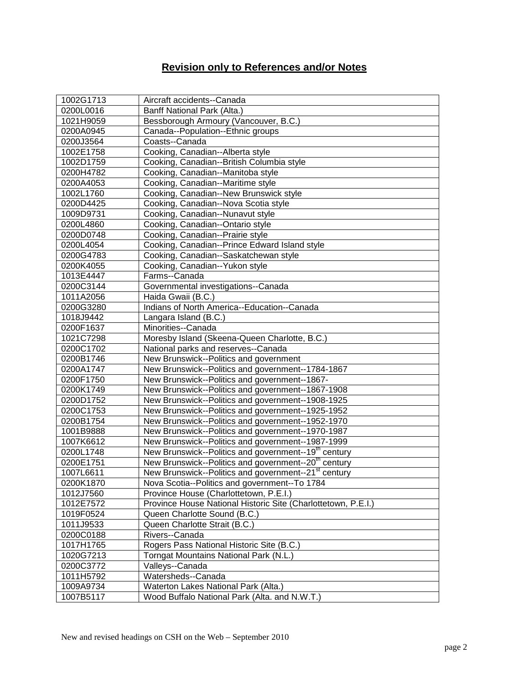# **Revision only to References and/or Notes**

| 1002G1713 | Aircraft accidents--Canada                                       |
|-----------|------------------------------------------------------------------|
| 0200L0016 | Banff National Park (Alta.)                                      |
| 1021H9059 | Bessborough Armoury (Vancouver, B.C.)                            |
| 0200A0945 | Canada--Population--Ethnic groups                                |
| 0200J3564 | Coasts--Canada                                                   |
| 1002E1758 | Cooking, Canadian--Alberta style                                 |
| 1002D1759 | Cooking, Canadian--British Columbia style                        |
| 0200H4782 | Cooking, Canadian--Manitoba style                                |
| 0200A4053 | Cooking, Canadian--Maritime style                                |
| 1002L1760 | Cooking, Canadian--New Brunswick style                           |
| 0200D4425 | Cooking, Canadian--Nova Scotia style                             |
| 1009D9731 | Cooking, Canadian--Nunavut style                                 |
| 0200L4860 | Cooking, Canadian--Ontario style                                 |
| 0200D0748 | Cooking, Canadian--Prairie style                                 |
| 0200L4054 | Cooking, Canadian--Prince Edward Island style                    |
| 0200G4783 | Cooking, Canadian--Saskatchewan style                            |
| 0200K4055 | Cooking, Canadian--Yukon style                                   |
| 1013E4447 | Farms--Canada                                                    |
| 0200C3144 | Governmental investigations--Canada                              |
| 1011A2056 | Haida Gwaii (B.C.)                                               |
| 0200G3280 | Indians of North America--Education--Canada                      |
| 1018J9442 | Langara Island (B.C.)                                            |
| 0200F1637 | Minorities--Canada                                               |
| 1021C7298 | Moresby Island (Skeena-Queen Charlotte, B.C.)                    |
| 0200C1702 | National parks and reserves--Canada                              |
| 0200B1746 | New Brunswick--Politics and government                           |
| 0200A1747 | New Brunswick--Politics and government--1784-1867                |
| 0200F1750 | New Brunswick--Politics and government--1867-                    |
| 0200K1749 | New Brunswick--Politics and government--1867-1908                |
| 0200D1752 | New Brunswick--Politics and government--1908-1925                |
| 0200C1753 | New Brunswick--Politics and government--1925-1952                |
| 0200B1754 | New Brunswick--Politics and government--1952-1970                |
| 1001B9888 | New Brunswick--Politics and government--1970-1987                |
| 1007K6612 | New Brunswick--Politics and government--1987-1999                |
| 0200L1748 | New Brunswick--Politics and government--19 <sup>th</sup> century |
| 0200E1751 | New Brunswick--Politics and government--20 <sup>th</sup> century |
| 1007L6611 | New Brunswick--Politics and government--21 <sup>st</sup> century |
| 0200K1870 | Nova Scotia--Politics and government--To 1784                    |
| 1012J7560 | Province House (Charlottetown, P.E.I.)                           |
| 1012E7572 | Province House National Historic Site (Charlottetown, P.E.I.)    |
| 1019F0524 | Queen Charlotte Sound (B.C.)                                     |
| 1011J9533 | Queen Charlotte Strait (B.C.)                                    |
| 0200C0188 | Rivers--Canada                                                   |
| 1017H1765 | Rogers Pass National Historic Site (B.C.)                        |
| 1020G7213 | Torngat Mountains National Park (N.L.)                           |
| 0200C3772 | Valleys--Canada                                                  |
| 1011H5792 | Watersheds--Canada                                               |
| 1009A9734 | Waterton Lakes National Park (Alta.)                             |
| 1007B5117 | Wood Buffalo National Park (Alta. and N.W.T.)                    |